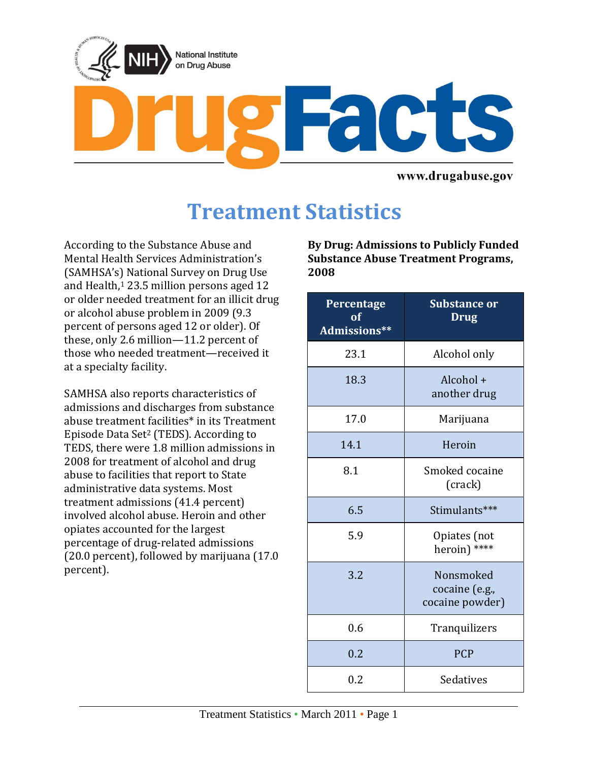

www.drugabuse.gov

# **Treatment Statistics**

According to the Substance Abuse and Mental Health Services Administration's (SAMHSA's) National Survey on Drug Use and Health,<sup>[1](#page-2-0)</sup> 23.5 million persons aged 12 or older needed treatment for an illicit drug or alcohol abuse problem in 2009 (9.3 percent of persons aged 12 or older). Of these, only 2.6 million—11.2 percent of those who needed treatment—received it at a specialty facility.

SAMHSA also reports characteristics of admissions and discharges from substance abuse treatment facilities\* in its Treatment Episode Data Set[2](#page-2-1) (TEDS). According to TEDS, there were 1.8 million admissions in 2008 for treatment of alcohol and drug abuse to facilities that report to State administrative data systems. Most treatment admissions (41.4 percent) involved alcohol abuse. Heroin and other opiates accounted for the largest percentage of drug-related admissions (20.0 percent), followed by marijuana (17.0 percent).

**By Drug: Admissions to Publicly Funded Substance Abuse Treatment Programs, 2008**

| <b>Percentage</b><br>of<br>Admissions** | <b>Substance or</b><br><b>Drug</b>             |
|-----------------------------------------|------------------------------------------------|
| 23.1                                    | Alcohol only                                   |
| 18.3                                    | Alcohol +<br>another drug                      |
| 17.0                                    | Marijuana                                      |
| 14.1                                    | Heroin                                         |
| 8.1                                     | Smoked cocaine<br>(crack)                      |
| 6.5                                     | Stimulants***                                  |
| 5.9                                     | Opiates (not<br>heroin) ****                   |
| 3.2                                     | Nonsmoked<br>cocaine (e.g.,<br>cocaine powder) |
| 0.6                                     | Tranquilizers                                  |
| 0.2                                     | <b>PCP</b>                                     |
| 0.2                                     | Sedatives                                      |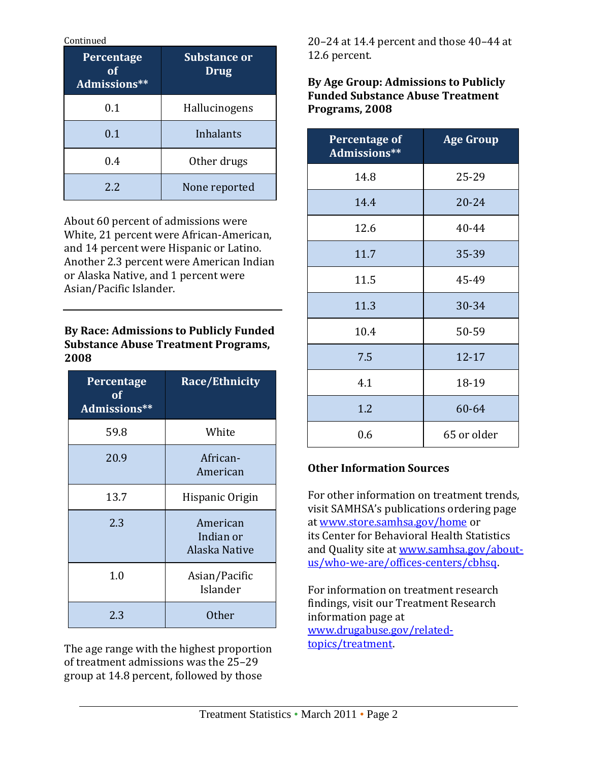Continued

| Percentage<br>Ωf<br>Admissions** | <b>Substance or</b><br><b>Drug</b> |
|----------------------------------|------------------------------------|
| 0.1                              | Hallucinogens                      |
| 0.1                              | Inhalants                          |
| 0.4                              | Other drugs                        |
| 2.2                              | None reported                      |

About 60 percent of admissions were White, 21 percent were African-American, and 14 percent were Hispanic or Latino. Another 2.3 percent were American Indian or Alaska Native, and 1 percent were Asian/Pacific Islander.

#### **By Race: Admissions to Publicly Funded Substance Abuse Treatment Programs, 2008**

| Percentage<br>$\overline{\textbf{0}}\textbf{f}$<br>Admissions** | <b>Race/Ethnicity</b>                  |
|-----------------------------------------------------------------|----------------------------------------|
| 59.8                                                            | White                                  |
| 20.9                                                            | African-<br>American                   |
| 13.7                                                            | Hispanic Origin                        |
| 2.3                                                             | American<br>Indian or<br>Alaska Native |
| 1.0                                                             | Asian/Pacific<br>Islander              |
| 2.3                                                             | <b>Other</b>                           |

The age range with the highest proportion of treatment admissions was the 25–29 group at 14.8 percent, followed by those

20–24 at 14.4 percent and those 40–44 at 12.6 percent.

**By Age Group: Admissions to Publicly Funded Substance Abuse Treatment Programs, 2008**

| <b>Percentage of</b><br>Admissions** | <b>Age Group</b> |
|--------------------------------------|------------------|
| 14.8                                 | 25-29            |
| 14.4                                 | $20 - 24$        |
| 12.6                                 | 40-44            |
| 11.7                                 | 35-39            |
| 11.5                                 | 45-49            |
| 11.3                                 | 30-34            |
| 10.4                                 | 50-59            |
| 7.5                                  | $12 - 17$        |
| 4.1                                  | 18-19            |
| 1.2                                  | 60-64            |
| 0.6                                  | 65 or older      |

## **Other Information Sources**

For other information on treatment trends, visit SAMHSA's publications ordering page at [www.store.samhsa.gov/home](http://www.store.samhsa.gov/home) or its Center for Behavioral Health Statistics and Quality site at [www.samhsa.gov/about](http://www.samhsa.gov/about-us/who-we-are/offices-centers/cbhsq)[us/who-we-are/offices-centers/cbhsq.](http://www.samhsa.gov/about-us/who-we-are/offices-centers/cbhsq)

For information on treatment research findings, visit our Treatment Research information page at [www.drugabuse.gov/related](http://www.drugabuse.gov/related-topics/treatment)[topics/treatment.](http://www.drugabuse.gov/related-topics/treatment)